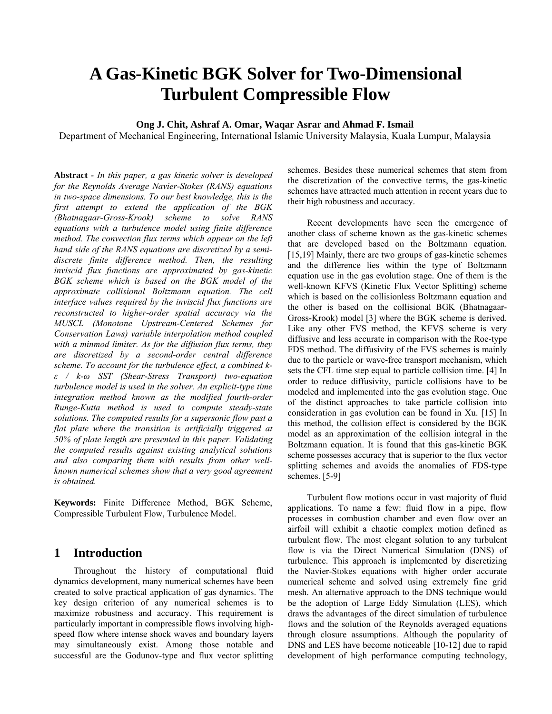# **A Gas-Kinetic BGK Solver for Two-Dimensional Turbulent Compressible Flow**

#### **Ong J. Chit, Ashraf A. Omar, Waqar Asrar and Ahmad F. Ismail**

Department of Mechanical Engineering, International Islamic University Malaysia, Kuala Lumpur, Malaysia

**Abstract** *- In this paper, a gas kinetic solver is developed for the Reynolds Average Navier-Stokes (RANS) equations in two-space dimensions. To our best knowledge, this is the first attempt to extend the application of the BGK (Bhatnagaar-Gross-Krook) scheme to solve RANS equations with a turbulence model using finite difference method. The convection flux terms which appear on the left hand side of the RANS equations are discretized by a semidiscrete finite difference method. Then, the resulting inviscid flux functions are approximated by gas-kinetic BGK scheme which is based on the BGK model of the approximate collisional Boltzmann equation. The cell interface values required by the inviscid flux functions are reconstructed to higher-order spatial accuracy via the MUSCL (Monotone Upstream-Centered Schemes for Conservation Laws) variable interpolation method coupled with a minmod limiter. As for the diffusion flux terms, they are discretized by a second-order central difference scheme. To account for the turbulence effect, a combined kε / k-ω SST (Shear-Stress Transport) two-equation turbulence model is used in the solver. An explicit-type time integration method known as the modified fourth-order Runge-Kutta method is used to compute steady-state solutions. The computed results for a supersonic flow past a flat plate where the transition is artificially triggered at 50% of plate length are presented in this paper. Validating the computed results against existing analytical solutions and also comparing them with results from other wellknown numerical schemes show that a very good agreement is obtained.* 

**Keywords:** Finite Difference Method, BGK Scheme, Compressible Turbulent Flow, Turbulence Model.

# **1 Introduction**

 Throughout the history of computational fluid dynamics development, many numerical schemes have been created to solve practical application of gas dynamics. The key design criterion of any numerical schemes is to maximize robustness and accuracy. This requirement is particularly important in compressible flows involving highspeed flow where intense shock waves and boundary layers may simultaneously exist. Among those notable and successful are the Godunov-type and flux vector splitting schemes. Besides these numerical schemes that stem from the discretization of the convective terms, the gas-kinetic schemes have attracted much attention in recent years due to their high robustness and accuracy.

 Recent developments have seen the emergence of another class of scheme known as the gas-kinetic schemes that are developed based on the Boltzmann equation. [15,19] Mainly, there are two groups of gas-kinetic schemes and the difference lies within the type of Boltzmann equation use in the gas evolution stage. One of them is the well-known KFVS (Kinetic Flux Vector Splitting) scheme which is based on the collisionless Boltzmann equation and the other is based on the collisional BGK (Bhatnagaar-Gross-Krook) model [3] where the BGK scheme is derived. Like any other FVS method, the KFVS scheme is very diffusive and less accurate in comparison with the Roe-type FDS method. The diffusivity of the FVS schemes is mainly due to the particle or wave-free transport mechanism, which sets the CFL time step equal to particle collision time. [4] In order to reduce diffusivity, particle collisions have to be modeled and implemented into the gas evolution stage. One of the distinct approaches to take particle collision into consideration in gas evolution can be found in Xu. [15] In this method, the collision effect is considered by the BGK model as an approximation of the collision integral in the Boltzmann equation. It is found that this gas-kinetic BGK scheme possesses accuracy that is superior to the flux vector splitting schemes and avoids the anomalies of FDS-type schemes. [5-9]

 Turbulent flow motions occur in vast majority of fluid applications. To name a few: fluid flow in a pipe, flow processes in combustion chamber and even flow over an airfoil will exhibit a chaotic complex motion defined as turbulent flow. The most elegant solution to any turbulent flow is via the Direct Numerical Simulation (DNS) of turbulence. This approach is implemented by discretizing the Navier-Stokes equations with higher order accurate numerical scheme and solved using extremely fine grid mesh. An alternative approach to the DNS technique would be the adoption of Large Eddy Simulation (LES), which draws the advantages of the direct simulation of turbulence flows and the solution of the Reynolds averaged equations through closure assumptions. Although the popularity of DNS and LES have become noticeable [10-12] due to rapid development of high performance computing technology,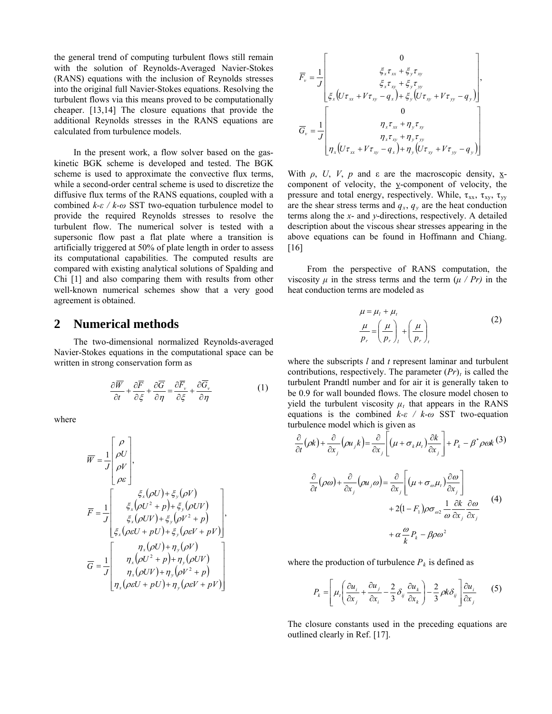the general trend of computing turbulent flows still remain with the solution of Reynolds-Averaged Navier-Stokes (RANS) equations with the inclusion of Reynolds stresses into the original full Navier-Stokes equations. Resolving the turbulent flows via this means proved to be computationally cheaper. [13,14] The closure equations that provide the additional Reynolds stresses in the RANS equations are calculated from turbulence models.

 In the present work, a flow solver based on the gaskinetic BGK scheme is developed and tested. The BGK scheme is used to approximate the convective flux terms, while a second-order central scheme is used to discretize the diffusive flux terms of the RANS equations, coupled with a combined *k-ε / k-ω* SST two-equation turbulence model to provide the required Reynolds stresses to resolve the turbulent flow. The numerical solver is tested with a supersonic flow past a flat plate where a transition is artificially triggered at 50% of plate length in order to assess its computational capabilities. The computed results are compared with existing analytical solutions of Spalding and Chi [1] and also comparing them with results from other well-known numerical schemes show that a very good agreement is obtained.

# **2 Numerical methods**

The two-dimensional normalized Reynolds-averaged Navier-Stokes equations in the computational space can be written in strong conservation form as

$$
\frac{\partial \overline{W}}{\partial t} + \frac{\partial \overline{F}}{\partial \xi} + \frac{\partial \overline{G}}{\partial \eta} = \frac{\partial \overline{F}_v}{\partial \xi} + \frac{\partial \overline{G}_v}{\partial \eta}
$$
(1)

where

$$
\overline{W} = \frac{1}{J} \begin{bmatrix} \rho \\ \rho U \\ \rho V \\ \rho \varepsilon \end{bmatrix},
$$
\n
$$
\overline{F} = \frac{1}{J} \begin{bmatrix} \xi_x(\rho U) + \xi_y(\rho V) \\ \xi_x(\rho U^2 + p) + \xi_y(\rho U V) \\ \xi_x(\rho UV) + \xi_y(\rho V^2 + p) \\ \xi_x(\rho \varepsilon U + pU) + \xi_y(\rho \varepsilon V + pV) \end{bmatrix},
$$
\n
$$
\overline{G} = \frac{1}{J} \begin{bmatrix} \eta_x(\rho U) + \eta_y(\rho V) \\ \eta_x(\rho U^2 + p) + \eta_y(\rho U V) \\ \eta_x(\rho U V) + \eta_y(\rho V^2 + p) \\ \eta_x(\rho \varepsilon U + pU) + \eta_y(\rho \varepsilon V + pV) \end{bmatrix}
$$

$$
\overline{F}_{v} = \frac{1}{J} \begin{bmatrix} 0 \\ \xi_{x} \tau_{xx} + \xi_{y} \tau_{xy} \\ \xi_{x} \tau_{xy} + \xi_{y} \tau_{yy} \\ \xi_{x} (\nu \tau_{xx} + V \tau_{xy} - q_{x}) + \xi_{y} (\nu \tau_{xy} + V \tau_{yy} - q_{y}) \end{bmatrix},
$$
\n
$$
\overline{G}_{v} = \frac{1}{J} \begin{bmatrix} 0 \\ \eta_{x} \tau_{xx} + \eta_{y} \tau_{xy} \\ \eta_{x} \tau_{xy} + \eta_{y} \tau_{yy} \\ \eta_{x} (\nu \tau_{xx} + V \tau_{xy} - q_{x}) + \eta_{y} (\nu \tau_{xy} + V \tau_{yy} - q_{y}) \end{bmatrix}
$$

With *ρ*, *U*, *V*, *p* and ε are the macroscopic density,  $\mathbf{x}$ component of velocity, the y-component of velocity, the pressure and total energy, respectively. While,  $\tau_{xx}$ ,  $\tau_{xy}$ ,  $\tau_{yy}$ are the shear stress terms and  $q_x$ ,  $q_y$  are the heat conduction terms along the *x*- and *y*-directions, respectively. A detailed description about the viscous shear stresses appearing in the above equations can be found in Hoffmann and Chiang. [16]

 From the perspective of RANS computation, the viscosity  $\mu$  in the stress terms and the term  $(\mu / Pr)$  in the heat conduction terms are modeled as

$$
\mu = \mu_{l} + \mu_{l}
$$
\n
$$
\frac{\mu}{p_{r}} = \left(\frac{\mu}{p_{r}}\right)_{l} + \left(\frac{\mu}{p_{r}}\right)_{l}
$$
\n(2)

where the subscripts *l* and *t* represent laminar and turbulent contributions, respectively. The parameter  $(Pr)$ <sup>t</sup> is called the turbulent Prandtl number and for air it is generally taken to be 0.9 for wall bounded flows. The closure model chosen to yield the turbulent viscosity  $\mu_t$  that appears in the RANS equations is the combined *k-ε / k-ω* SST two-equation turbulence model which is given as

$$
\frac{\partial}{\partial t}(\rho k) + \frac{\partial}{\partial x_j}(\rho u_j k) = \frac{\partial}{\partial x_j} \left[ (\mu + \sigma_k \mu_t) \frac{\partial k}{\partial x_j} \right] + P_k - \beta^* \rho \omega k \tag{3}
$$
\n
$$
\frac{\partial}{\partial t}(\rho \omega) + \frac{\partial}{\partial x_j}(\rho u_j \omega) = \frac{\partial}{\partial x_j} \left[ (\mu + \sigma_\omega \mu_t) \frac{\partial \omega}{\partial x_j} \right]
$$
\n
$$
+ 2(1 - F_1) \rho \sigma_{\omega 2} \frac{1}{\omega} \frac{\partial k}{\partial x_j} \frac{\partial \omega}{\partial x_j} \tag{4}
$$
\n
$$
+ \alpha \frac{\omega}{k} P_k - \beta \rho \omega^2
$$

where the production of turbulence  $P_k$  is defined as

$$
P_k = \left[ \mu_i \left( \frac{\partial u_i}{\partial x_j} + \frac{\partial u_j}{\partial x_i} - \frac{2}{3} \delta_{ij} \frac{\partial u_k}{\partial x_k} \right) - \frac{2}{3} \rho k \delta_{ij} \right] \frac{\partial u_i}{\partial x_j} \tag{5}
$$

The closure constants used in the preceding equations are outlined clearly in Ref. [17].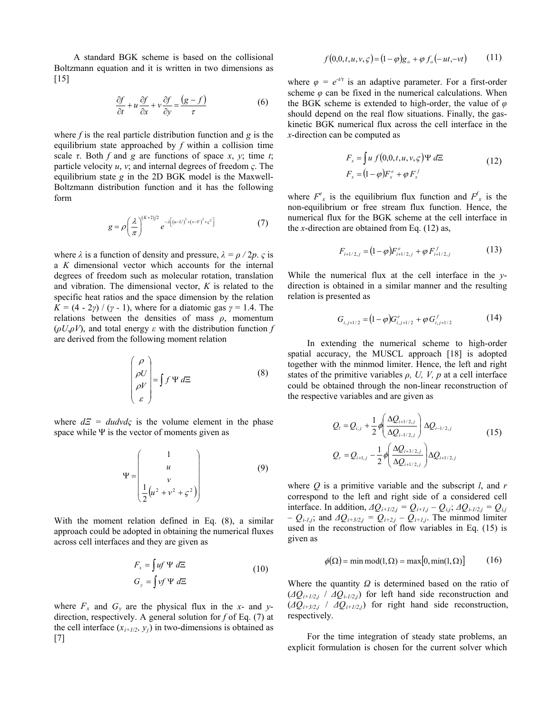A standard BGK scheme is based on the collisional Boltzmann equation and it is written in two dimensions as [15]

$$
\frac{\partial f}{\partial t} + u \frac{\partial f}{\partial x} + v \frac{\partial f}{\partial y} = \frac{(g - f)}{\tau}
$$
(6)

where *f* is the real particle distribution function and *g* is the equilibrium state approached by *f* within a collision time scale  $\tau$ . Both  $f$  and  $g$  are functions of space  $x$ ,  $y$ ; time  $t$ ; particle velocity *u*, *v*; and internal degrees of freedom *ς*. The equilibrium state *g* in the 2D BGK model is the Maxwell-Boltzmann distribution function and it has the following form

$$
g = \rho \left(\frac{\lambda}{\pi}\right)^{(K+2)/2} e^{-\lambda \left[ (u-U)^2 + (v-V)^2 + \varsigma^2 \right]}
$$
 (7)

where  $\lambda$  is a function of density and pressure,  $\lambda = \rho / 2p$ . *ς* is a *K* dimensional vector which accounts for the internal degrees of freedom such as molecular rotation, translation and vibration. The dimensional vector, *K* is related to the specific heat ratios and the space dimension by the relation *K* =  $(4 - 2\gamma) / (\gamma - 1)$ , where for a diatomic gas  $\gamma = 1.4$ . The relations between the densities of mass *ρ*, momentum (*ρU*,*ρV*), and total energy *ε* with the distribution function *f* are derived from the following moment relation

$$
\begin{pmatrix}\n\rho \\
\rho U \\
\rho V \\
\varepsilon\n\end{pmatrix} = \int f \Psi d\Xi
$$
\n(8)

where  $dE = dudvd\varsigma$  is the volume element in the phase space while Ψ is the vector of moments given as

$$
\Psi = \begin{pmatrix} 1 \\ u \\ v \\ \frac{1}{2}(u^2 + v^2 + \zeta^2) \end{pmatrix}
$$
 (9)

With the moment relation defined in Eq. (8), a similar approach could be adopted in obtaining the numerical fluxes across cell interfaces and they are given as

$$
F_x = \int uf \Psi d\Xi
$$
  
\n
$$
G_y = \int vf \Psi d\Xi
$$
\n(10)

where  $F_x$  and  $G_y$  are the physical flux in the *x*- and *y*direction, respectively. A general solution for *f* of Eq. (7) at the cell interface  $(x_{i+1/2}, y_i)$  in two-dimensions is obtained as [7]

$$
f(0,0,t,u,v,\varsigma) = (1-\varphi)g_o + \varphi f_o(-ut,-vt) \qquad (11)
$$

where  $\varphi = e^{-t/\tau}$  is an adaptive parameter. For a first-order scheme  $\varphi$  can be fixed in the numerical calculations. When the BGK scheme is extended to high-order, the value of *φ* should depend on the real flow situations. Finally, the gaskinetic BGK numerical flux across the cell interface in the *x*-direction can be computed as

$$
F_x = \int u f(0,0,t,u,v,\varsigma) \Psi d\Xi
$$
  
\n
$$
F_x = (1-\varphi) F_x^e + \varphi F_x^f
$$
\n(12)

where  $F^e$ <sub>x</sub> is the equilibrium flux function and  $F^f$ <sub>x</sub> is the non-equilibrium or free stream flux function. Hence, the numerical flux for the BGK scheme at the cell interface in the *x*-direction are obtained from Eq. (12) as,

$$
F_{i+1/2,j} = (1 - \varphi) F_{i+1/2,j}^e + \varphi F_{i+1/2,j}^f \tag{13}
$$

While the numerical flux at the cell interface in the *y*direction is obtained in a similar manner and the resulting relation is presented as

$$
G_{i,j+1/2} = (1 - \varphi) G_{i,j+1/2}^e + \varphi G_{i,j+1/2}^f \tag{14}
$$

 In extending the numerical scheme to high-order spatial accuracy, the MUSCL approach [18] is adopted together with the minmod limiter. Hence, the left and right states of the primitive variables  $\rho$ , U, V,  $p$  at a cell interface could be obtained through the non-linear reconstruction of the respective variables and are given as

$$
Q_{i} = Q_{i,j} + \frac{1}{2} \phi \left( \frac{\Delta Q_{i+1/2,j}}{\Delta Q_{i-1/2,j}} \right) \Delta Q_{i-1/2,j}
$$
\n
$$
Q_{r} = Q_{i+1,j} - \frac{1}{2} \phi \left( \frac{\Delta Q_{i+3/2,j}}{\Delta Q_{i+1/2,j}} \right) \Delta Q_{i+1/2,j}
$$
\n(15)

where *Q* is a primitive variable and the subscript *l*, and *r* correspond to the left and right side of a considered cell interface. In addition,  $\Delta Q_{i+1/2,j} = Q_{i+1,j} - Q_{i,j}$ ;  $\Delta Q_{i-1/2,j} = Q_{i,j}$  $-Q_{i\text{-}1,j}$ ; and  $\Delta Q_{i\text{+}3/2,j} = Q_{i\text{+}2,j} - Q_{i\text{+}1,j}$ . The minmod limiter used in the reconstruction of flow variables in Eq. (15) is given as

$$
\phi(\Omega) = \min \text{mod}(1, \Omega) = \max[0, \min(1, \Omega)] \tag{16}
$$

Where the quantity *Ω* is determined based on the ratio of  $(\Delta Q_{i+1/2,i}$  /  $\Delta Q_{i-1/2,i})$  for left hand side reconstruction and (*ΔQi+3/2,j* / *ΔQi+1/2,j*) for right hand side reconstruction, respectively.

 For the time integration of steady state problems, an explicit formulation is chosen for the current solver which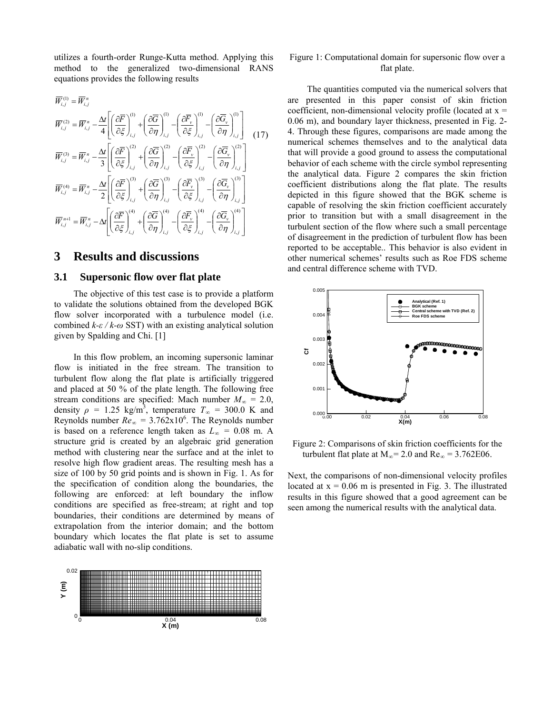utilizes a fourth-order Runge-Kutta method. Applying this method to the generalized two-dimensional RANS equations provides the following results

$$
\overline{W}_{i,j}^{(1)} = \overline{W}_{i,j}^{n}
$$
\n
$$
\overline{W}_{i,j}^{(2)} = \overline{W}_{i,j}^{n} - \frac{\Delta t}{4} \left[ \left( \frac{\partial \overline{F}}{\partial \xi} \right)_{i,j}^{(1)} + \left( \frac{\partial \overline{G}}{\partial \eta} \right)_{i,j}^{(1)} - \left( \frac{\partial \overline{F}_{v}}{\partial \xi} \right)_{i,j}^{(1)} - \left( \frac{\partial \overline{G}_{v}}{\partial \eta} \right)_{i,j}^{(1)} \right] \tag{17}
$$
\n
$$
\overline{W}_{i,j}^{(3)} = \overline{W}_{i,j}^{n} - \frac{\Delta t}{3} \left[ \left( \frac{\partial \overline{F}}{\partial \xi} \right)_{i,j}^{(2)} + \left( \frac{\partial \overline{G}}{\partial \eta} \right)_{i,j}^{(2)} - \left( \frac{\partial \overline{F}_{v}}{\partial \xi} \right)_{i,j}^{(2)} - \left( \frac{\partial \overline{G}_{v}}{\partial \eta} \right)_{i,j}^{(2)} \right]
$$
\n
$$
\overline{W}_{i,j}^{(4)} = \overline{W}_{i,j}^{n} - \frac{\Delta t}{2} \left[ \left( \frac{\partial \overline{F}}{\partial \xi} \right)_{i,j}^{(3)} + \left( \frac{\partial \overline{G}}{\partial \eta} \right)_{i,j}^{(3)} - \left( \frac{\partial \overline{F}_{v}}{\partial \xi} \right)_{i,j}^{(3)} - \left( \frac{\partial \overline{G}_{v}}{\partial \eta} \right)_{i,j}^{(3)} \right]
$$
\n
$$
\overline{W}_{i,j}^{n+1} = \overline{W}_{i,j}^{n} - \Delta t \left[ \left( \frac{\partial \overline{F}}{\partial \xi} \right)_{i,j}^{(4)} + \left( \frac{\partial \overline{G}}{\partial \eta} \right)_{i,j}^{(4)} - \left( \frac{\partial \overline{F}_{v}}{\partial \xi} \right)_{i,j}^{(4)} - \left( \frac{\partial \overline{G}_{v}}{\partial \eta} \right)_{i,j}^{(4)} \right]
$$

## **3 Results and discussions**

#### **3.1 Supersonic flow over flat plate**

 The objective of this test case is to provide a platform to validate the solutions obtained from the developed BGK flow solver incorporated with a turbulence model (i.e. combined *k-ε / k-ω* SST) with an existing analytical solution given by Spalding and Chi. [1]

 In this flow problem, an incoming supersonic laminar flow is initiated in the free stream. The transition to turbulent flow along the flat plate is artificially triggered and placed at 50 % of the plate length. The following free stream conditions are specified: Mach number  $M_\infty = 2.0$ , density  $\rho = 1.25 \text{ kg/m}^3$ , temperature  $T_\infty = 300.0 \text{ K}$  and Reynolds number  $Re_\infty = 3.762 \times 10^6$ . The Reynolds number is based on a reference length taken as *L∞ =* 0.08 m. A structure grid is created by an algebraic grid generation method with clustering near the surface and at the inlet to resolve high flow gradient areas. The resulting mesh has a size of 100 by 50 grid points and is shown in Fig. 1. As for the specification of condition along the boundaries, the following are enforced: at left boundary the inflow conditions are specified as free-stream; at right and top boundaries, their conditions are determined by means of extrapolation from the interior domain; and the bottom boundary which locates the flat plate is set to assume adiabatic wall with no-slip conditions.



#### Figure 1: Computational domain for supersonic flow over a flat plate.

 The quantities computed via the numerical solvers that are presented in this paper consist of skin friction coefficient, non-dimensional velocity profile (located at  $x =$ 0.06 m), and boundary layer thickness, presented in Fig. 2- 4. Through these figures, comparisons are made among the numerical schemes themselves and to the analytical data that will provide a good ground to assess the computational behavior of each scheme with the circle symbol representing the analytical data. Figure 2 compares the skin friction coefficient distributions along the flat plate. The results depicted in this figure showed that the BGK scheme is capable of resolving the skin friction coefficient accurately prior to transition but with a small disagreement in the turbulent section of the flow where such a small percentage of disagreement in the prediction of turbulent flow has been reported to be acceptable.. This behavior is also evident in other numerical schemes' results such as Roe FDS scheme and central difference scheme with TVD.



Figure 2: Comparisons of skin friction coefficients for the turbulent flat plate at  $M_{\infty}$ = 2.0 and Re<sub>∞</sub> = 3.762E06.

Next, the comparisons of non-dimensional velocity profiles located at  $x = 0.06$  m is presented in Fig. 3. The illustrated results in this figure showed that a good agreement can be seen among the numerical results with the analytical data.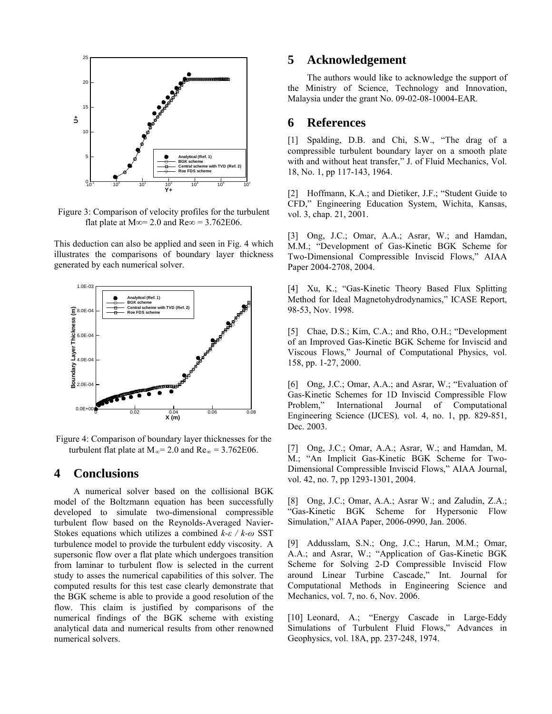

Figure 3: Comparison of velocity profiles for the turbulent flat plate at M∞= 2.0 and Re∞ = 3.762E06.

This deduction can also be applied and seen in Fig. 4 which illustrates the comparisons of boundary layer thickness generated by each numerical solver.



Figure 4: Comparison of boundary layer thicknesses for the turbulent flat plate at  $M_{\infty}$ = 2.0 and Re<sub>∞</sub> = 3.762E06.

# **4 Conclusions**

 A numerical solver based on the collisional BGK model of the Boltzmann equation has been successfully developed to simulate two-dimensional compressible turbulent flow based on the Reynolds-Averaged Navier-Stokes equations which utilizes a combined *k-ε / k-ω* SST turbulence model to provide the turbulent eddy viscosity. A supersonic flow over a flat plate which undergoes transition from laminar to turbulent flow is selected in the current study to asses the numerical capabilities of this solver. The computed results for this test case clearly demonstrate that the BGK scheme is able to provide a good resolution of the flow. This claim is justified by comparisons of the numerical findings of the BGK scheme with existing analytical data and numerical results from other renowned numerical solvers.

## **5 Acknowledgement**

 The authors would like to acknowledge the support of the Ministry of Science, Technology and Innovation, Malaysia under the grant No. 09-02-08-10004-EAR*.*

## **6 References**

[1] Spalding, D.B. and Chi, S.W., "The drag of a compressible turbulent boundary layer on a smooth plate with and without heat transfer," J. of Fluid Mechanics, Vol. 18, No. 1, pp 117-143, 1964.

[2] Hoffmann, K.A.; and Dietiker, J.F.; "Student Guide to CFD," Engineering Education System, Wichita, Kansas, vol. 3, chap. 21, 2001.

[3] Ong, J.C.; Omar, A.A.; Asrar, W.; and Hamdan, M.M.; "Development of Gas-Kinetic BGK Scheme for Two-Dimensional Compressible Inviscid Flows," AIAA Paper 2004-2708, 2004.

[4] Xu, K.; "Gas-Kinetic Theory Based Flux Splitting Method for Ideal Magnetohydrodynamics," ICASE Report, 98-53, Nov. 1998.

[5] Chae, D.S.; Kim, C.A.; and Rho, O.H.; "Development of an Improved Gas-Kinetic BGK Scheme for Inviscid and Viscous Flows," Journal of Computational Physics, vol. 158, pp. 1-27, 2000.

[6] Ong, J.C.; Omar, A.A.; and Asrar, W.; "Evaluation of Gas-Kinetic Schemes for 1D Inviscid Compressible Flow Problem," International Journal of Computational Engineering Science (IJCES)*,* vol. 4, no. 1, pp. 829-851, Dec. 2003.

[7] Ong, J.C.; Omar, A.A.; Asrar, W.; and Hamdan, M. M.; "An Implicit Gas-Kinetic BGK Scheme for Two-Dimensional Compressible Inviscid Flows," AIAA Journal, vol. 42, no. 7, pp 1293-1301, 2004.

[8] Ong, J.C.; Omar, A.A.; Asrar W.; and Zaludin, Z.A.; "Gas-Kinetic BGK Scheme for Hypersonic Flow Simulation," AIAA Paper, 2006-0990, Jan. 2006.

[9] Addusslam, S.N.; Ong, J.C.; Harun, M.M.; Omar, A.A.; and Asrar, W.; "Application of Gas-Kinetic BGK Scheme for Solving 2-D Compressible Inviscid Flow around Linear Turbine Cascade," Int. Journal for Computational Methods in Engineering Science and Mechanics, vol. 7, no. 6, Nov. 2006.

[10] Leonard, A.; "Energy Cascade in Large-Eddy Simulations of Turbulent Fluid Flows," Advances in Geophysics, vol. 18A, pp. 237-248, 1974.